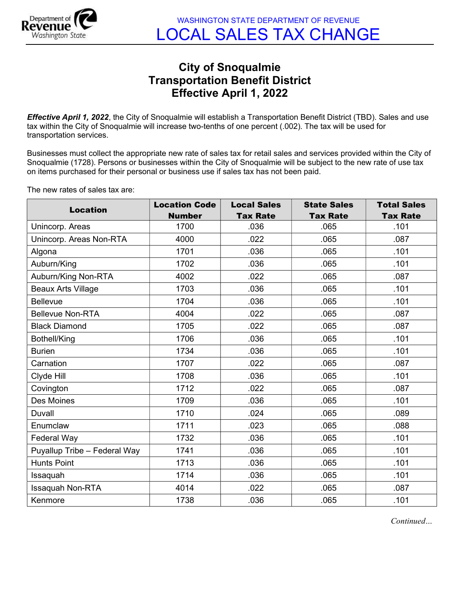

## City of Snoqualmie Transportation Benefit District Effective April 1, 2022

Effective April 1, 2022, the City of Snoqualmie will establish a Transportation Benefit District (TBD). Sales and use tax within the City of Snoqualmie will increase two-tenths of one percent (.002). The tax will be used for transportation services.

Businesses must collect the appropriate new rate of sales tax for retail sales and services provided within the City of Snoqualmie (1728). Persons or businesses within the City of Snoqualmie will be subject to the new rate of use tax on items purchased for their personal or business use if sales tax has not been paid.

The new rates of sales tax are:

| <b>Location</b>              | <b>Location Code</b> | <b>Local Sales</b> | <b>State Sales</b> | <b>Total Sales</b> |
|------------------------------|----------------------|--------------------|--------------------|--------------------|
|                              | <b>Number</b>        | <b>Tax Rate</b>    | <b>Tax Rate</b>    | <b>Tax Rate</b>    |
| Unincorp. Areas              | 1700                 | .036               | .065               | .101               |
| Unincorp. Areas Non-RTA      | 4000                 | .022               | .065               | .087               |
| Algona                       | 1701                 | .036               | .065               | .101               |
| Auburn/King                  | 1702                 | .036               | .065               | .101               |
| Auburn/King Non-RTA          | 4002                 | .022               | .065               | .087               |
| <b>Beaux Arts Village</b>    | 1703                 | .036               | .065               | .101               |
| <b>Bellevue</b>              | 1704                 | .036               | .065               | .101               |
| <b>Bellevue Non-RTA</b>      | 4004                 | .022               | .065               | .087               |
| <b>Black Diamond</b>         | 1705                 | .022               | .065               | .087               |
| Bothell/King                 | 1706                 | .036               | .065               | .101               |
| <b>Burien</b>                | 1734                 | .036               | .065               | .101               |
| Carnation                    | 1707                 | .022               | .065               | .087               |
| Clyde Hill                   | 1708                 | .036               | .065               | .101               |
| Covington                    | 1712                 | .022               | .065               | .087               |
| Des Moines                   | 1709                 | .036               | .065               | .101               |
| Duvall                       | 1710                 | .024               | .065               | .089               |
| Enumclaw                     | 1711                 | .023               | .065               | .088               |
| Federal Way                  | 1732                 | .036               | .065               | .101               |
| Puyallup Tribe - Federal Way | 1741                 | .036               | .065               | .101               |
| <b>Hunts Point</b>           | 1713                 | .036               | .065               | .101               |
| Issaquah                     | 1714                 | .036               | .065               | .101               |
| <b>Issaquah Non-RTA</b>      | 4014                 | .022               | .065               | .087               |
| Kenmore                      | 1738                 | .036               | .065               | .101               |

Continued…